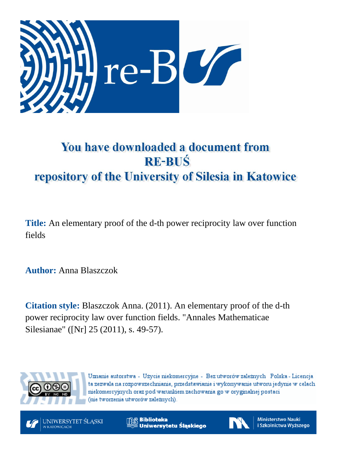

# You have downloaded a document from **RE-BUŚ** repository of the University of Silesia in Katowice

**Title:** An elementary proof of the d-th power reciprocity law over function fields

**Author:** Anna Blaszczok

**Citation style:** Blaszczok Anna. (2011). An elementary proof of the d-th power reciprocity law over function fields. "Annales Mathematicae Silesianae" ([Nr] 25 (2011), s. 49-57).



Uznanie autorstwa - Użycie niekomercyjne - Bez utworów zależnych Polska - Licencja ta zezwala na rozpowszechnianie, przedstawianie i wykonywanie utworu jedynie w celach niekomercyjnych oraz pod warunkiem zachowania go w oryginalnej postaci (nie tworzenia utworów zależnych).



**Biblioteka** Uniwersytetu Śląskiego



**Ministerstwo Nauki** i Szkolnictwa Wyższego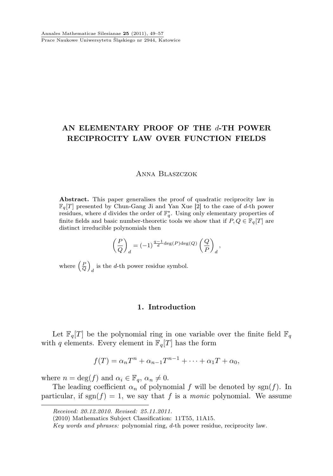## AN ELEMENTARY PROOF OF THE d-TH POWER RECIPROCITY LAW OVER FUNCTION FIELDS

#### Anna Blaszczok

Abstract. This paper generalises the proof of quadratic reciprocity law in  $\mathbb{F}_q[T]$  presented by Chun-Gang Ji and Yan Xue [2] to the case of d-th power residues, where  $d$  divides the order of  $\mathbb{F}_q^*$ . Using only elementary properties of finite fields and basic number-theoretic tools we show that if  $P, Q \in \mathbb{F}_q[T]$  are distinct irreducible polynomials then

$$
\left(\frac{P}{Q}\right)_d = (-1)^{\frac{q-1}{d} \deg(P) \deg(Q)} \left(\frac{Q}{P}\right)_d,
$$

where  $\left(\frac{P}{Q}\right)$ is the *d*-th power residue symbol.

#### 1. Introduction

Let  $\mathbb{F}_q[T]$  be the polynomial ring in one variable over the finite field  $\mathbb{F}_q$ with  $q$  elements. Every element in  $\mathbb{F}_q[T]$  has the form

$$
f(T) = \alpha_n T^n + \alpha_{n-1} T^{n-1} + \dots + \alpha_1 T + \alpha_0,
$$

where  $n = \deg(f)$  and  $\alpha_i \in \mathbb{F}_q$ ,  $\alpha_n \neq 0$ .

The leading coefficient  $\alpha_n$  of polynomial f will be denoted by sgn(f). In particular, if  $sgn(f) = 1$ , we say that f is a *monic* polynomial. We assume

Received: 20.12.2010. Revised: 25.11.2011.

<sup>(2010)</sup> Mathematics Subject Classification: 11T55, 11A15.

Key words and phrases: polynomial ring, d-th power residue, reciprocity law.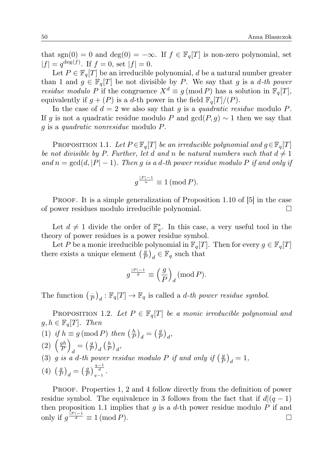that sgn(0) = 0 and deg(0) =  $-\infty$ . If  $f \in \mathbb{F}_q[T]$  is non-zero polynomial, set  $|f| = q^{\deg(f)}$ . If  $f = 0$ , set  $|f| = 0$ .

Let  $P \in \mathbb{F}_q[T]$  be an irreducible polynomial, d be a natural number greater than 1 and  $g \in \mathbb{F}_q[T]$  be not divisible by P. We say that g is a d-th power residue modulo P if the congruence  $X^d \equiv q \pmod{P}$  has a solution in  $\mathbb{F}_q[T]$ , equivalently if  $g + (P)$  is a d-th power in the field  $\mathbb{F}_q[T]/(P)$ .

In the case of  $d = 2$  we also say that g is a quadratic residue modulo P. If g is not a quadratic residue modulo P and  $gcd(P, q) \sim 1$  then we say that g is a quadratic nonresidue modulo P.

PROPOSITION 1.1. Let  $P \in \mathbb{F}_q[T]$  be an irreducible polynomial and  $g \in \mathbb{F}_q[T]$ be not divisible by P. Further, let d and n be natural numbers such that  $d \neq 1$ and  $n = \gcd(d, |P| - 1)$ . Then g is a d-th power residue modulo P if and only if

$$
g^{\frac{|P|-1}{n}} \equiv 1 \, (\text{mod } P).
$$

PROOF. It is a simple generalization of Proposition 1.10 of [5] in the case of power residues modulo irreducible polynomial.

Let  $d \neq 1$  divide the order of  $\mathbb{F}_q^*$ . In this case, a very useful tool in the theory of power residues is a power residue symbol.

Let P be a monic irreducible polynomial in  $\mathbb{F}_q[T]$ . Then for every  $g \in \mathbb{F}_q[T]$ there exists a unique element  $\left(\frac{g}{F}\right)$  $\left(\frac{g}{P}\right)_d \in \mathbb{F}_q$  such that

$$
g^{\frac{|P|-1}{d}} \equiv \left(\frac{g}{P}\right)_d \left(\text{mod } P\right).
$$

The function  $\left(\frac{1}{P}\right)_d : \mathbb{F}_q[T] \to \mathbb{F}_q$  is called a *d-th power residue symbol.* 

PROPOSITION 1.2. Let  $P \in \mathbb{F}_q[T]$  be a monic irreducible polynomial and  $g, h \in \mathbb{F}_q[T]$ . Then

(1) if  $h \equiv g \pmod{P}$  then  $\left(\frac{h}{P}\right)_d = \left(\frac{g}{P}\right)_d$  $\frac{g}{P}\Big)_d$  $(2) \left(\frac{gh}{p}\right)$ P  $\setminus$  $\frac{1}{d} = \left(\frac{g}{P}\right)$  $\frac{g}{P}\Big)_d \left(\frac{h}{P}\right)_d$ (3) g is a d-th power residue modulo P if and only if  $\left(\frac{9}{5}\right)$  $\frac{g}{P}\big)_d=1,$  $(4)$   $\left(\frac{g}{F}\right)$  $\left(\frac{g}{P}\right)_d = \left(\frac{g}{P}\right)$  $\frac{g}{P}\Big)_{q-1}^{\frac{q-1}{d}}$  $\frac{d}{q-1}$ .

PROOF. Properties 1, 2 and 4 follow directly from the definition of power residue symbol. The equivalence in 3 follows from the fact that if  $d|(q-1)$ then proposition 1.1 implies that  $g$  is a  $d$ -th power residue modulo  $P$  if and only if  $g^{\frac{|P|-1}{d}} \equiv 1 \pmod{P}$ .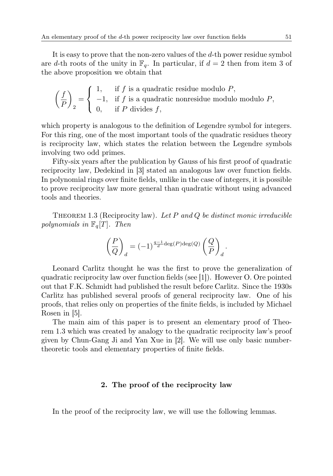It is easy to prove that the non-zero values of the d-th power residue symbol are d-th roots of the unity in  $\mathbb{F}_q$ . In particular, if  $d = 2$  then from item 3 of the above proposition we obtain that

$$
\left(\frac{f}{P}\right)_2 = \begin{cases} 1, & \text{if } f \text{ is a quadratic residue modulo } P, \\ -1, & \text{if } f \text{ is a quadratic nonresidue modulo modulo } P, \\ 0, & \text{if } P \text{ divides } f, \end{cases}
$$

which property is analogous to the definition of Legendre symbol for integers. For this ring, one of the most important tools of the quadratic residues theory is reciprocity law, which states the relation between the Legendre symbols involving two odd primes.

Fifty-six years after the publication by Gauss of his first proof of quadratic reciprocity law, Dedekind in [3] stated an analogous law over function fields. In polynomial rings over finite fields, unlike in the case of integers, it is possible to prove reciprocity law more general than quadratic without using advanced tools and theories.

THEOREM 1.3 (Reciprocity law). Let  $P$  and  $Q$  be distinct monic irreducible polynomials in  $\mathbb{F}_q[T]$ . Then

$$
\left(\frac{P}{Q}\right)_d = (-1)^{\frac{q-1}{d} \deg(P) \deg(Q)} \left(\frac{Q}{P}\right)_d.
$$

Leonard Carlitz thought he was the first to prove the generalization of quadratic reciprocity law over function fields (see [1]). However O. Ore pointed out that F.K. Schmidt had published the result before Carlitz. Since the 1930s Carlitz has published several proofs of general reciprocity law. One of his proofs, that relies only on properties of the finite fields, is included by Michael Rosen in [5].

The main aim of this paper is to present an elementary proof of Theorem 1.3 which was created by analogy to the quadratic reciprocity law's proof given by Chun-Gang Ji and Yan Xue in [2]. We will use only basic numbertheoretic tools and elementary properties of finite fields.

### 2. The proof of the reciprocity law

In the proof of the reciprocity law, we will use the following lemmas.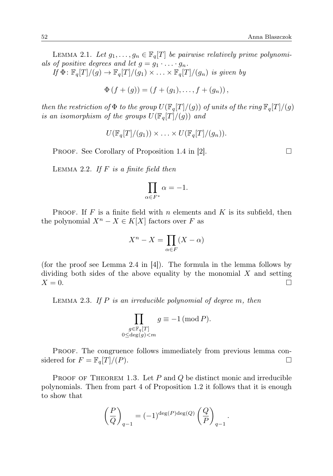LEMMA 2.1. Let  $g_1, \ldots, g_n \in \mathbb{F}_q[T]$  be pairwise relatively prime polynomials of positive degrees and let  $g = g_1 \cdot \ldots \cdot g_n$ .

If  $\Phi: \mathbb{F}_q[T]/(g) \to \mathbb{F}_q[T]/(g_1) \times \ldots \times \mathbb{F}_q[T]/(g_n)$  is given by

 $\Phi(f + (q)) = (f + (q_1), \ldots, f + (q_n)),$ 

then the restriction of  $\Phi$  to the group  $U(\mathbb{F}_q[T]/(g))$  of units of the ring  $\mathbb{F}_q[T]/(g)$ is an isomorphism of the groups  $U(\mathbb{F}_q[T]/(q))$  and

$$
U(\mathbb{F}_q[T]/(g_1)) \times \ldots \times U(\mathbb{F}_q[T]/(g_n)).
$$

**PROOF.** See Corollary of Proposition 1.4 in [2].

LEMMA 2.2. If  $F$  is a finite field then

$$
\prod_{\alpha \in F^*} \alpha = -1.
$$

**PROOF.** If F is a finite field with n elements and K is its subfield, then the polynomial  $X^n - X \in K[X]$  factors over F as

$$
X^n - X = \prod_{\alpha \in F} (X - \alpha)
$$

(for the proof see Lemma 2.4 in [4]). The formula in the lemma follows by dividing both sides of the above equality by the monomial  $X$  and setting  $X = 0.$ 

LEMMA 2.3. If  $P$  is an irreducible polynomial of degree  $m$ , then

$$
\prod_{\substack{g \in \mathbb{F}_q[T] \\ 0 \le \deg(g) < m}} g \equiv -1 \, (\text{mod } P).
$$

PROOF. The congruence follows immediately from previous lemma considered for  $F = \mathbb{F}_q[T]/(P)$ .

PROOF OF THEOREM 1.3. Let  $P$  and  $Q$  be distinct monic and irreducible polynomials. Then from part 4 of Proposition 1.2 it follows that it is enough to show that

$$
\left(\frac{P}{Q}\right)_{q-1} = (-1)^{\deg(P)\deg(Q)} \left(\frac{Q}{P}\right)_{q-1}.
$$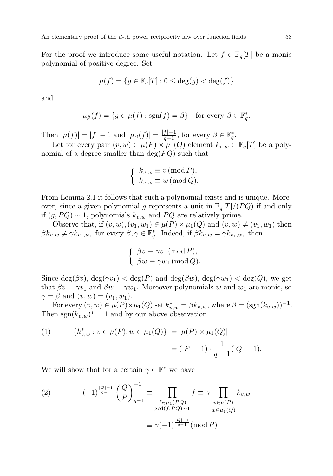For the proof we introduce some useful notation. Let  $f \in \mathbb{F}_q[T]$  be a monic polynomial of positive degree. Set

$$
\mu(f) = \{ g \in \mathbb{F}_q[T] : 0 \le \deg(g) < \deg(f) \}
$$

and

$$
\mu_{\beta}(f) = \{ g \in \mu(f) : \text{sgn}(f) = \beta \} \quad \text{for every } \beta \in \mathbb{F}_q^*.
$$

Then  $|\mu(f)| = |f| - 1$  and  $|\mu_{\beta}(f)| = \frac{|f| - 1}{q - 1}$  $\frac{f_1 - 1}{q - 1}$ , for every  $\beta \in \mathbb{F}_q^*$ .

Let for every pair  $(v, w) \in \mu(P) \times \mu_1(Q)$  element  $k_{v,w} \in \mathbb{F}_q[T]$  be a polynomial of a degree smaller than  $deg(PQ)$  such that

$$
\begin{cases} k_{v,w} \equiv v \, (\text{mod } P), \\ k_{v,w} \equiv w \, (\text{mod } Q). \end{cases}
$$

From Lemma 2.1 it follows that such a polynomial exists and is unique. Moreover, since a given polynomial g represents a unit in  $\mathbb{F}_q[T]/(PQ)$  if and only if  $(g, PQ)$  ∼ 1, polynomials  $k_{v,w}$  and  $PQ$  are relatively prime.

Observe that, if  $(v, w), (v_1, w_1) \in \mu(P) \times \mu_1(Q)$  and  $(v, w) \neq (v_1, w_1)$  then  $\beta k_{v,w} \neq \gamma k_{v_1,w_1}$  for every  $\beta, \gamma \in \mathbb{F}_q^*$ . Indeed, if  $\beta k_{v,w} = \gamma k_{v_1,w_1}$  then

$$
\begin{cases}\n\beta v \equiv \gamma v_1 \, (\text{mod } P), \\
\beta w \equiv \gamma w_1 \, (\text{mod } Q).\n\end{cases}
$$

Since  $\deg(\beta v)$ ,  $\deg(\gamma v_1) < \deg(P)$  and  $\deg(\beta w)$ ,  $\deg(\gamma w_1) < \deg(Q)$ , we get that  $\beta v = \gamma v_1$  and  $\beta w = \gamma w_1$ . Moreover polynomials w and  $w_1$  are monic, so  $\gamma = \beta$  and  $(v, w) = (v_1, w_1)$ .

For every  $(v, w) \in \mu(P) \times \mu_1(Q)$  set  $k_{v,w}^* = \beta k_{v,w}$ , where  $\beta = (sgn(k_{v,w}))^{-1}$ . Then  $sgn(k_{v,w})^* = 1$  and by our above observation

(1) 
$$
|\{k_{v,w}^*: v \in \mu(P), w \in \mu_1(Q)\}| = |\mu(P) \times \mu_1(Q)|
$$

$$
= (|P| - 1) \cdot \frac{1}{q-1}(|Q| - 1).
$$

We will show that for a certain  $\gamma \in \mathbb{F}^*$  we have

(2) 
$$
(-1)^{\frac{|Q|-1}{q-1}} \left(\frac{Q}{P}\right)_{q-1}^{-1} \equiv \prod_{\substack{f \in \mu_1(PQ) \\ \gcd(f, PQ) \sim 1}} f \equiv \gamma \prod_{\substack{v \in \mu(P) \\ w \in \mu_1(Q)}} k_{v,w}
$$

$$
\equiv \gamma(-1)^{\frac{|Q|-1}{q-1}} (\text{mod } P)
$$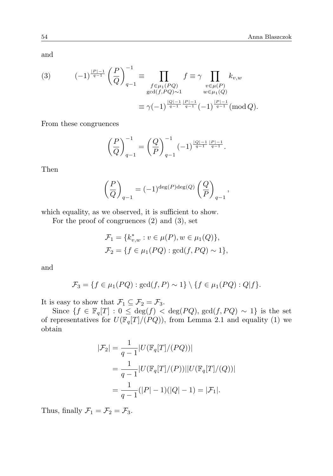and

(3) 
$$
(-1)^{\frac{|P|-1}{q-1}} \left(\frac{P}{Q}\right)_{q-1}^{-1} \equiv \prod_{\substack{f \in \mu_1(PQ) \\ \gcd(f, PQ) \sim 1}} f \equiv \gamma \prod_{\substack{v \in \mu(P) \\ w \in \mu_1(Q)}} k_{v,w}
$$

$$
\equiv \gamma (-1)^{\frac{|Q|-1}{q-1} \frac{|P|-1}{q-1}} (-1)^{\frac{|P|-1}{q-1}} (\text{mod } Q).
$$

From these congruences

$$
\left(\frac{P}{Q}\right)_{q-1}^{-1} = \left(\frac{Q}{P}\right)_{q-1}^{-1} (-1)^{\frac{|Q|-1}{q-1} \frac{|P|-1}{q-1}}.
$$

Then

$$
\left(\frac{P}{Q}\right)_{q-1} = (-1)^{\deg(P)\deg(Q)} \left(\frac{Q}{P}\right)_{q-1},
$$

which equality, as we observed, it is sufficient to show.

For the proof of congruences (2) and (3), set

$$
\mathcal{F}_1 = \{k_{v,w}^* : v \in \mu(P), w \in \mu_1(Q)\},\
$$
  

$$
\mathcal{F}_2 = \{f \in \mu_1(PQ) : \gcd(f, PQ) \sim 1\},\
$$

and

$$
\mathcal{F}_3 = \{f \in \mu_1(PQ) : \gcd(f, P) \sim 1\} \setminus \{f \in \mu_1(PQ) : Q|f\}.
$$

It is easy to show that  $\mathcal{F}_1 \subseteq \mathcal{F}_2 = \mathcal{F}_3$ .

Since  $\{f \in \mathbb{F}_q[T] : 0 \leq \deg(f) < \deg(PQ), \gcd(f, PQ) \sim 1\}$  is the set of representatives for  $U(\mathbb{F}_q[T]/(PQ))$ , from Lemma 2.1 and equality (1) we obtain

$$
|\mathcal{F}_2| = \frac{1}{q-1} |U(\mathbb{F}_q[T]/(PQ))|
$$
  
= 
$$
\frac{1}{q-1} |U(\mathbb{F}_q[T]/(P))||U(\mathbb{F}_q[T]/(Q))|
$$
  
= 
$$
\frac{1}{q-1}(|P|-1)(|Q|-1) = |\mathcal{F}_1|.
$$

Thus, finally  $\mathcal{F}_1 = \mathcal{F}_2 = \mathcal{F}_3$ .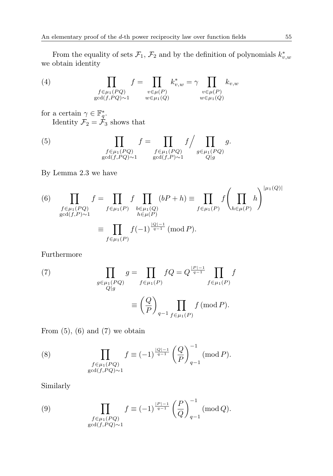From the equality of sets  $\mathcal{F}_1$ ,  $\mathcal{F}_2$  and by the definition of polynomials  $k_{v,w}^*$ we obtain identity

(4) 
$$
\prod_{\substack{f \in \mu_1(PQ) \\ \gcd(f, PQ) \sim 1}} f = \prod_{\substack{v \in \mu(P) \\ w \in \mu_1(Q)}} k_{v,w}^* = \gamma \prod_{\substack{v \in \mu(P) \\ w \in \mu_1(Q)}} k_{v,w}
$$

for a certain  $\gamma \in \mathbb{F}_q^*$ . Identity  $\mathcal{F}_2 = \mathcal{F}_3$  shows that

(5) 
$$
\prod_{\substack{f \in \mu_1(PQ) \\ \gcd(f, PQ) \sim 1}} f = \prod_{\substack{f \in \mu_1(PQ) \\ \gcd(f, P) \sim 1}} f \Big/ \prod_{\substack{g \in \mu_1(PQ) \\ Q|g}} g.
$$

By Lemma 2.3 we have

(6) 
$$
\prod_{\substack{f \in \mu_1(PQ) \\ \gcd(f, P) \sim 1}} f = \prod_{f \in \mu_1(P)} f \prod_{\substack{b \in \mu_1(Q) \\ h \in \mu(P)}} (bP + h) \equiv \prod_{f \in \mu_1(P)} f \left( \prod_{h \in \mu(P)} h \right)^{|\mu_1(Q)|}
$$

$$
\equiv \prod_{f \in \mu_1(P)} f(-1)^{\frac{|Q| - 1}{q - 1}} \text{ (mod } P).
$$

Furthermore

(7) 
$$
\prod_{\substack{g \in \mu_1(PQ) \\ Q|g}} g = \prod_{f \in \mu_1(P)} fQ = Q^{\frac{|P|-1}{q-1}} \prod_{f \in \mu_1(P)} f
$$

$$
\equiv \left(\frac{Q}{P}\right)_{q-1} \prod_{f \in \mu_1(P)} f \text{ (mod } P).
$$

From  $(5)$ ,  $(6)$  and  $(7)$  we obtain

(8) 
$$
\prod_{\substack{f \in \mu_1(PQ) \\ \gcd(f, PQ) \sim 1}} f \equiv (-1)^{\frac{|Q|-1}{q-1}} \left(\frac{Q}{P}\right)_{q-1}^{-1} (\text{mod } P).
$$

Similarly

(9) 
$$
\prod_{\substack{f \in \mu_1(PQ) \\ \gcd(f, PQ) \sim 1}} f \equiv (-1)^{\frac{|P|-1}{q-1}} \left(\frac{P}{Q}\right)_{q-1}^{-1} (\text{mod } Q).
$$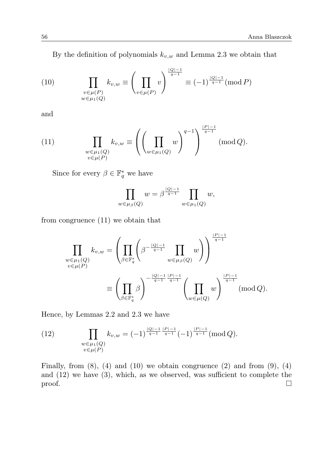By the definition of polynomials  $k_{v,w}$  and Lemma 2.3 we obtain that

(10) 
$$
\prod_{\substack{v \in \mu(P) \\ w \in \mu_1(Q)}} k_{v,w} \equiv \left(\prod_{v \in \mu(P)} v\right)^{\frac{|Q|-1}{q-1}} \equiv (-1)^{\frac{|Q|-1}{q-1}} (\text{mod } P)
$$

and

(11) 
$$
\prod_{\substack{w \in \mu_1(Q) \\ v \in \mu(P)}} k_{v,w} \equiv \left( \left( \prod_{w \in \mu_1(Q)} w \right)^{q-1} \right)^{\frac{|P|-1}{q-1}} \pmod{Q}.
$$

Since for every  $\beta \in \mathbb{F}_q^*$  we have

$$
\prod_{w \in \mu_{\beta}(Q)} w = \beta^{\frac{|Q|-1}{q-1}} \prod_{w \in \mu_1(Q)} w,
$$

from congruence (11) we obtain that

$$
\prod_{\substack{w \in \mu_1(Q) \\ v \in \mu(P)}} k_{v,w} = \left( \prod_{\beta \in \mathbb{F}_q^*} \left( \beta^{-\frac{|Q|-1}{q-1}} \prod_{w \in \mu_\beta(Q)} w \right) \right)^{\frac{|P|-1}{q-1}}
$$

$$
\equiv \left( \prod_{\beta \in \mathbb{F}_q^*} \beta \right)^{-\frac{|Q|-1}{q-1}\frac{|P|-1}{q-1}} \left( \prod_{w \in \mu(Q)} w \right)^{\frac{|P|-1}{q-1}} \pmod{Q}.
$$

Hence, by Lemmas 2.2 and 2.3 we have

(12) 
$$
\prod_{\substack{w \in \mu_1(Q) \\ v \in \mu(P)}} k_{v,w} = (-1)^{\frac{|Q|-1}{q-1} \frac{|P|-1}{q-1}} (-1)^{\frac{|P|-1}{q-1}} (\text{mod } Q).
$$

Finally, from  $(8)$ ,  $(4)$  and  $(10)$  we obtain congruence  $(2)$  and from  $(9)$ ,  $(4)$ and (12) we have (3), which, as we observed, was sufficient to complete the  $\Box$